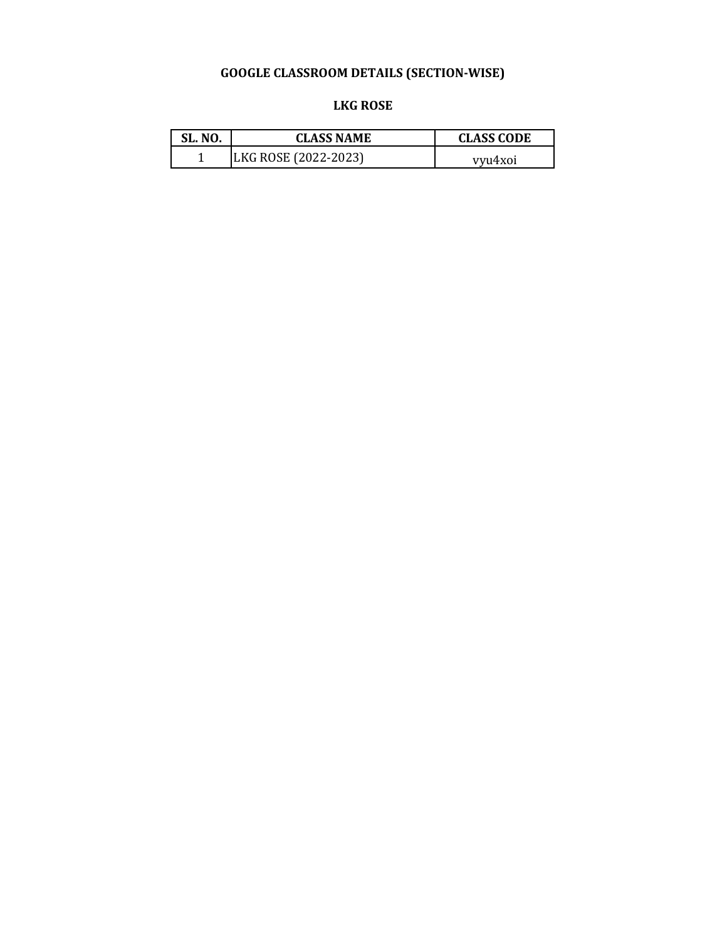**LKG ROSE** 

| SL. NO. | <b>CLASS NAME</b>    | <b>CLASS CODE</b> |
|---------|----------------------|-------------------|
|         | LKG ROSE (2022-2023) | vvu4xoi           |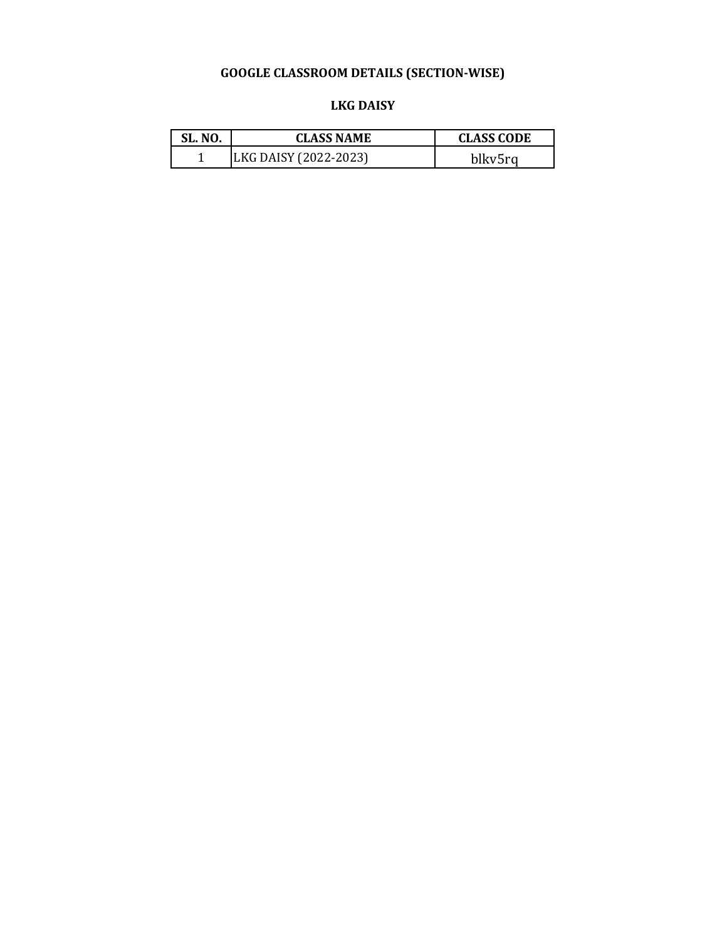#### **LKG DAISY**

| <b>SL. NO.</b> | <b>CLASS NAME</b>     | <b>CLASS CODE</b> |
|----------------|-----------------------|-------------------|
|                | LKG DAISY (2022-2023) | blkv5rg           |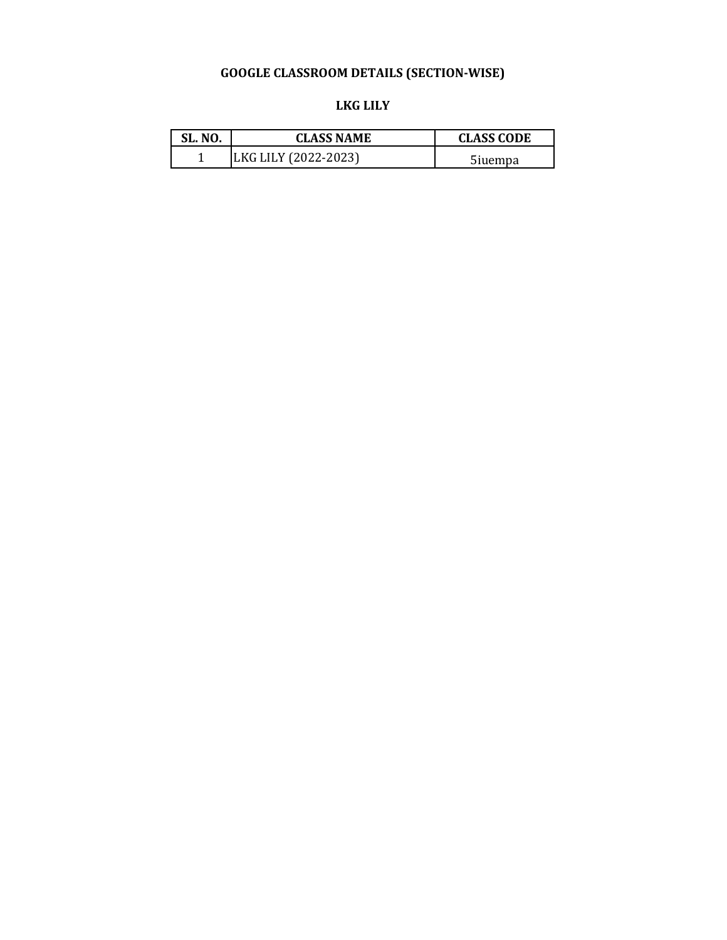| .KG I | LH.Y |  |
|-------|------|--|
|-------|------|--|

| <b>SL. NO.</b> | <b>CLASS NAME</b>    | <b>CLASS CODE</b> |
|----------------|----------------------|-------------------|
|                | LKG LILY (2022-2023) | 5iuempa           |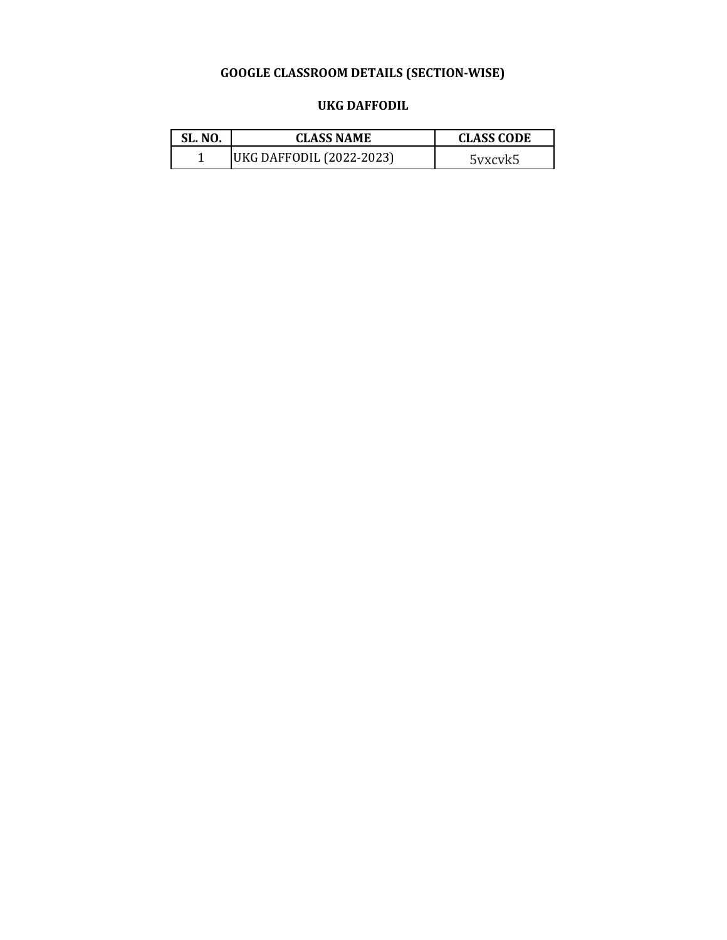#### **UKG DAFFODIL**

| <b>SL. NO.</b> | <b>CLASS NAME</b>        | <b>CLASS CODE</b> |
|----------------|--------------------------|-------------------|
|                | UKG DAFFODIL (2022-2023) | 5yxcyk5           |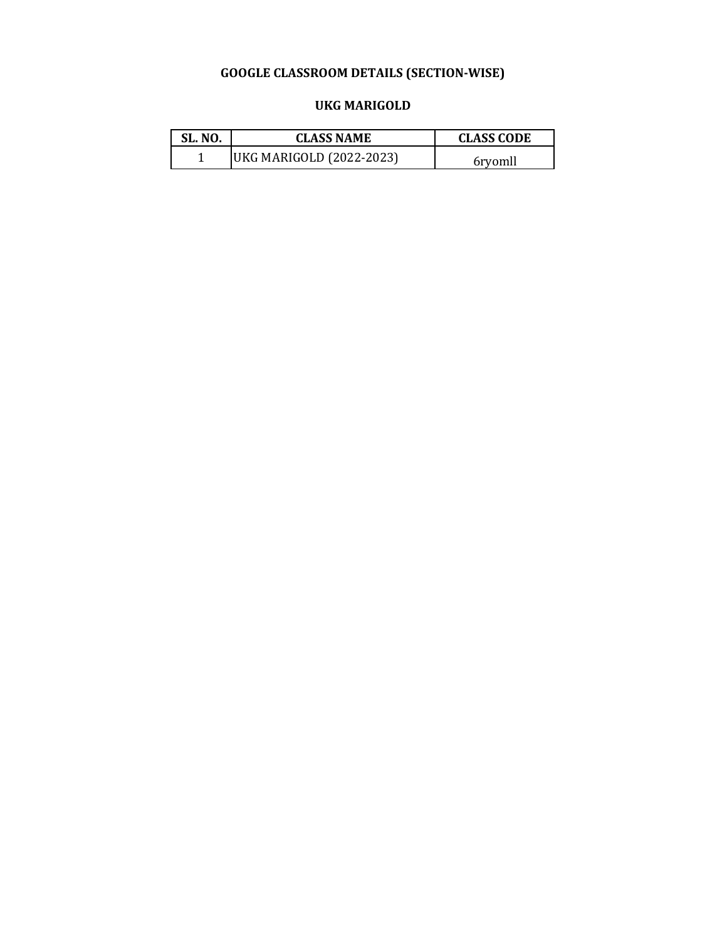#### **UKG MARIGOLD**

| SL. NO. | <b>CLASS NAME</b>        | <b>CLASS CODE</b> |
|---------|--------------------------|-------------------|
|         | UKG MARIGOLD (2022-2023) | 6rvomll           |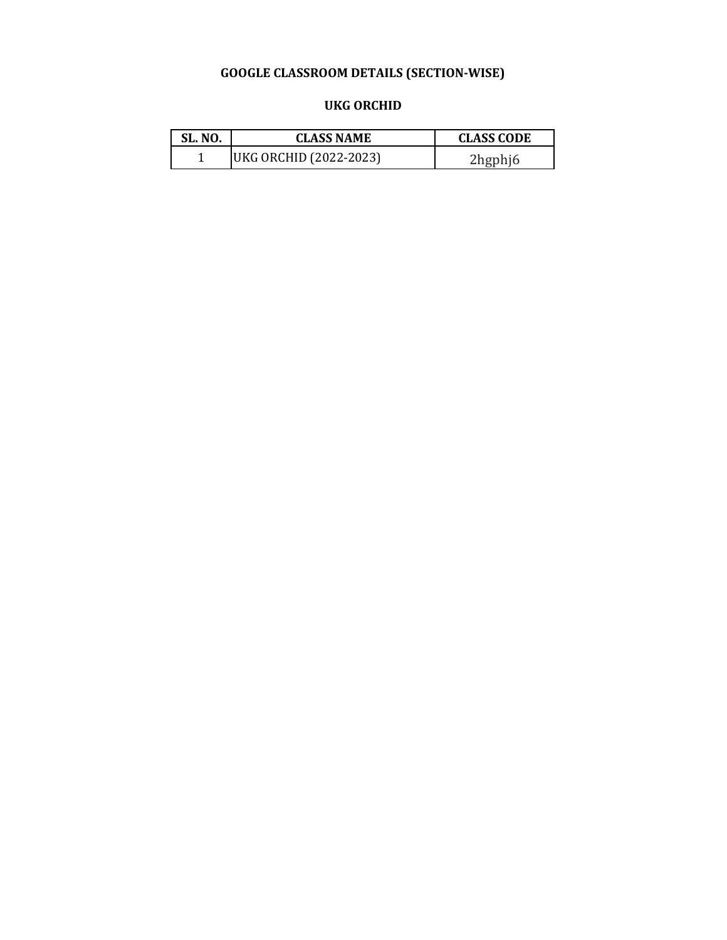#### **UKG ORCHID**

| <b>SL. NO.</b> | <b>CLASS NAME</b>      | <b>CLASS CODE</b> |
|----------------|------------------------|-------------------|
|                | UKG ORCHID (2022-2023) | 2hgphj6           |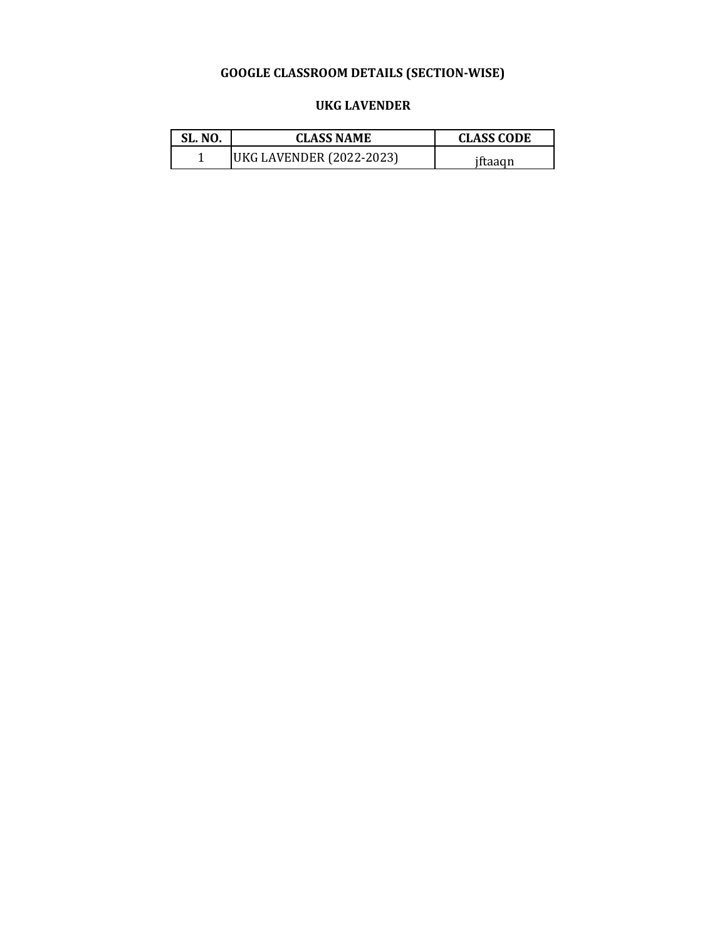#### **UKG LAVENDER**

| <b>SL. NO.</b> | <b>CLASS NAME</b>        | <b>CLASS CODE</b> |
|----------------|--------------------------|-------------------|
|                | UKG LAVENDER (2022-2023) | iftaagn           |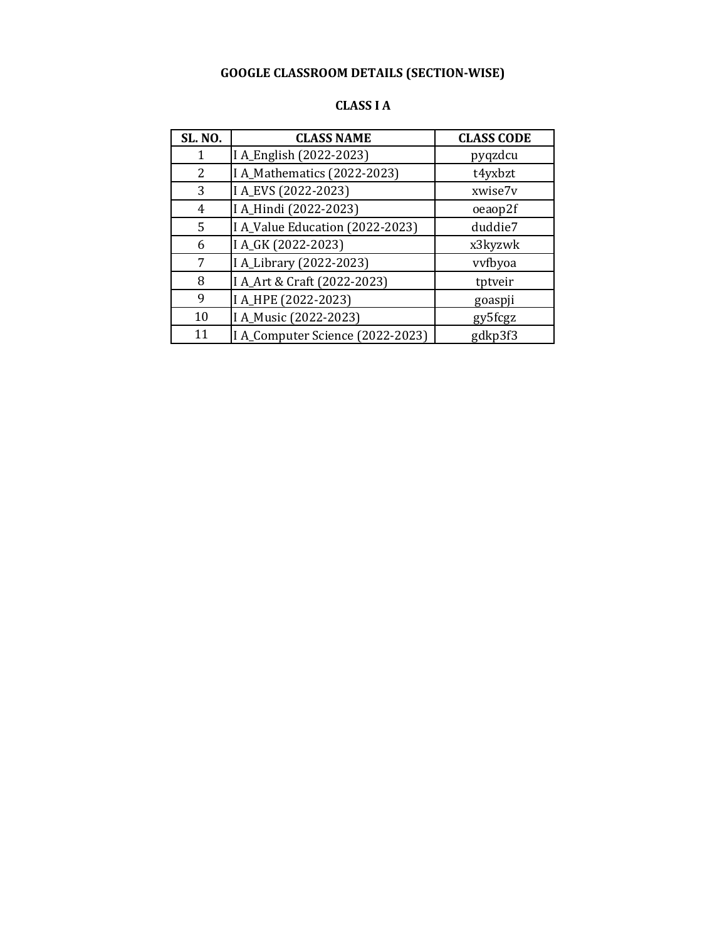| <b>SL. NO.</b> | <b>CLASS NAME</b>                | <b>CLASS CODE</b> |
|----------------|----------------------------------|-------------------|
|                | I A_English (2022-2023)          | pyqzdcu           |
| 2              | I A_Mathematics (2022-2023)      | t4yxbzt           |
| 3              | I A_EVS (2022-2023)              | xwise7v           |
| 4              | I A_Hindi (2022-2023)            | oeaop2f           |
| 5              | I A_Value Education (2022-2023)  | duddie7           |
| 6              | I A_GK (2022-2023)               | x3kyzwk           |
| 7              | I A_Library (2022-2023)          | vyfbyoa           |
| 8              | I A_Art & Craft (2022-2023)      | tptveir           |
| 9              | I A_HPE (2022-2023)              | goaspji           |
| 10             | I A_Music (2022-2023)            | gy5fcgz           |
| 11             | I A_Computer Science (2022-2023) | gdkp3f3           |

#### **CLASS I A**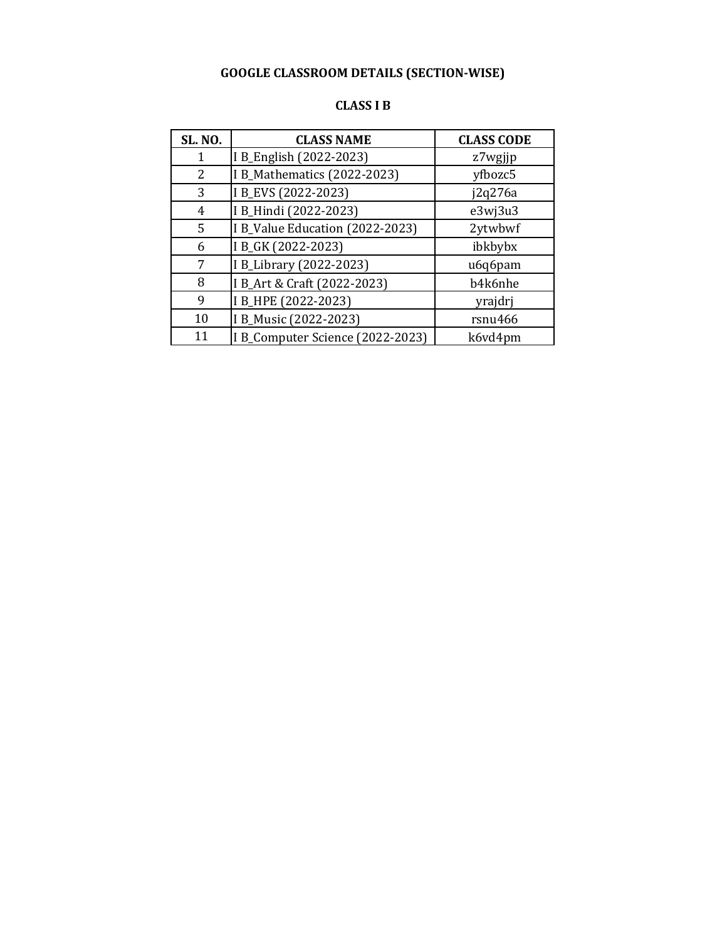| <b>SL. NO.</b> | <b>CLASS NAME</b>                | <b>CLASS CODE</b> |
|----------------|----------------------------------|-------------------|
|                | I B_English (2022-2023)          | z7wgjjp           |
| 2              | I B_Mathematics (2022-2023)      | yfbozc5           |
| 3              | I B_EVS (2022-2023)              | j2q276a           |
| 4              | I B_Hindi (2022-2023)            | e3wj3u3           |
| 5              | I B_Value Education (2022-2023)  | 2ytwbwf           |
| 6              | I B_GK (2022-2023)               | ibkbybx           |
| 7              | I B_Library (2022-2023)          | u6q6pam           |
| 8              | I B_Art & Craft (2022-2023)      | b4k6nhe           |
| 9              | I B_HPE (2022-2023)              | yrajdrj           |
| 10             | I B_Music (2022-2023)            | rsnu466           |
| 11             | I B_Computer Science (2022-2023) | k6vd4pm           |

#### **CLASS I B**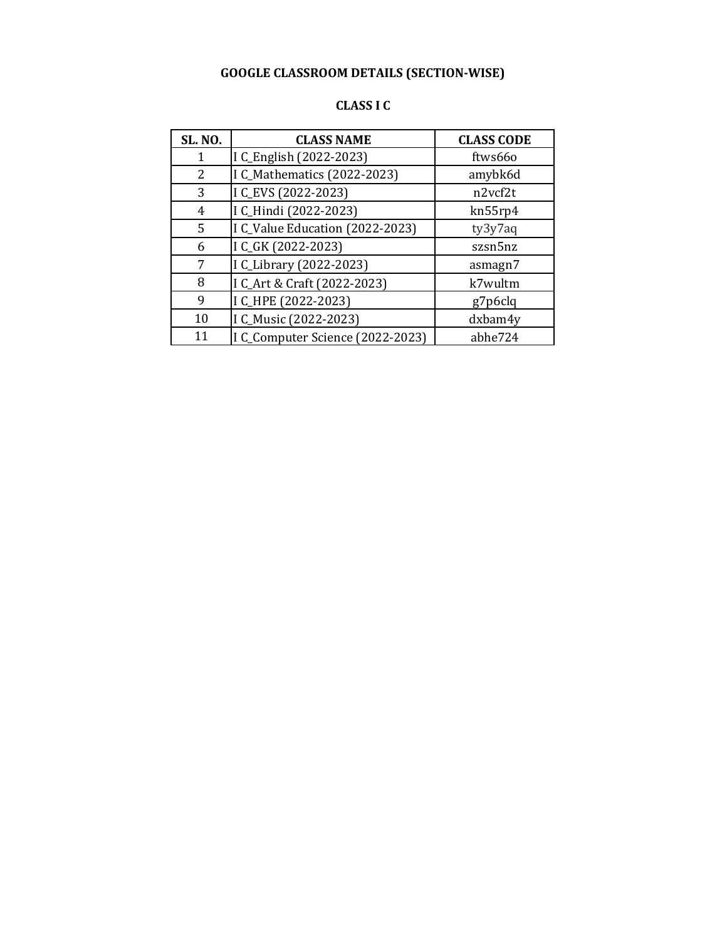| CLASS I C |  |  |
|-----------|--|--|
|-----------|--|--|

| <b>SL. NO.</b> | <b>CLASS NAME</b>                | <b>CLASS CODE</b> |
|----------------|----------------------------------|-------------------|
|                | I C_English (2022-2023)          | ftws66o           |
| 2              | I C_Mathematics (2022-2023)      | amybk6d           |
| 3              | I C_EVS (2022-2023)              | n2vcf2t           |
| 4              | I C_Hindi (2022-2023)            | kn55rp4           |
| 5              | I C_Value Education (2022-2023)  | ty3y7aq           |
| 6              | I C_GK (2022-2023)               | szsn5nz           |
| 7              | I C_Library (2022-2023)          | asmagn7           |
| 8              | I C_Art & Craft (2022-2023)      | k7wultm           |
| 9              | I C_HPE (2022-2023)              | g7p6clq           |
| 10             | I C_Music (2022-2023)            | dxbam4y           |
| 11             | I C_Computer Science (2022-2023) | abhe724           |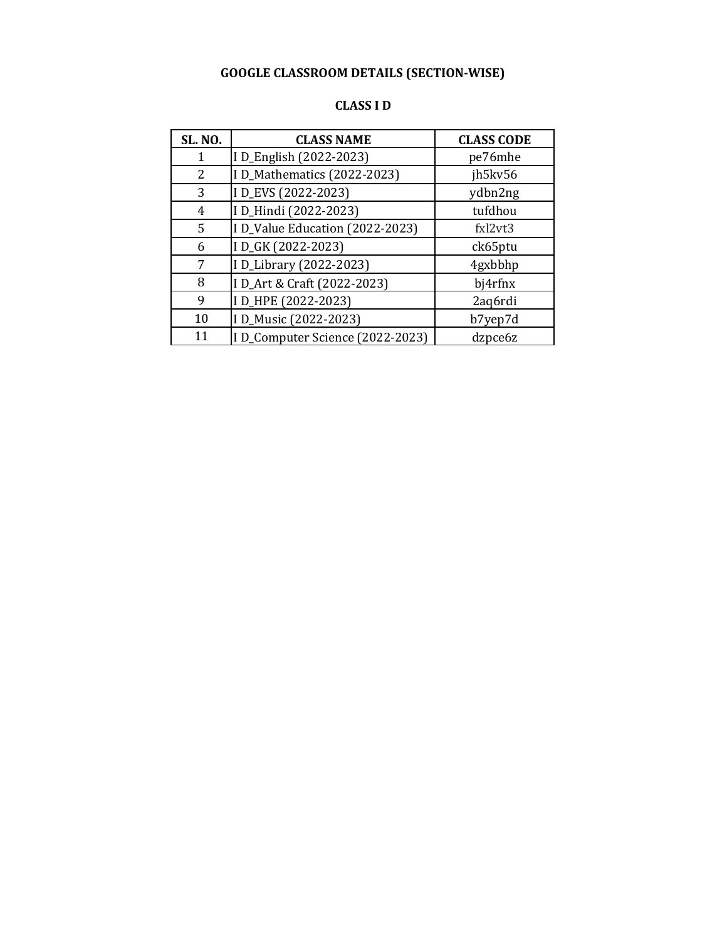| <b>SL. NO.</b> | <b>CLASS NAME</b>               | <b>CLASS CODE</b> |
|----------------|---------------------------------|-------------------|
| 1              | I D_English (2022-2023)         | pe76mhe           |
| 2              | I D_Mathematics (2022-2023)     | jh5kv56           |
| 3              | I D_EVS (2022-2023)             | ydbn2ng           |
| 4              | ID_Hindi (2022-2023)            | tufdhou           |
| 5              | I D_Value Education (2022-2023) | fxl2vt3           |
| 6              | ID_GK (2022-2023)               | ck65ptu           |
| 7              | I D_Library (2022-2023)         | 4gxbbhp           |
| 8              | I D_Art & Craft (2022-2023)     | bj4rfnx           |
| 9              | ID_HPE (2022-2023)              | 2aq6rdi           |
| 10             | I D_Music (2022-2023)           | b7yep7d           |
| 11             | ID_Computer Science (2022-2023) | dzpce6z           |

#### **CLASS I D**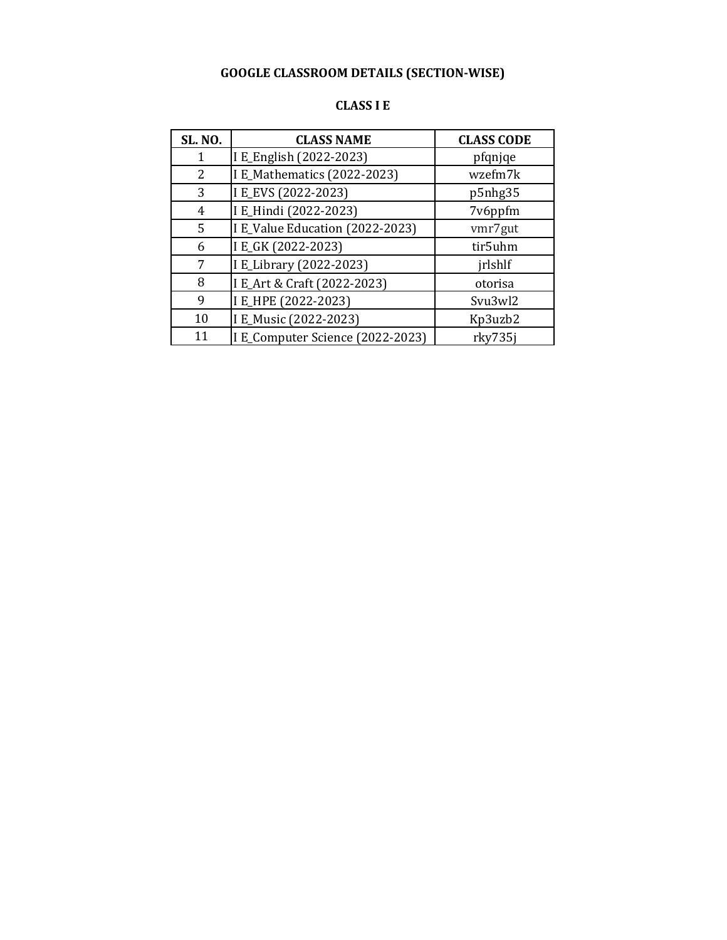| <b>CLASS I E</b> |  |  |  |
|------------------|--|--|--|
|------------------|--|--|--|

| <b>SL. NO.</b> | <b>CLASS NAME</b>                | <b>CLASS CODE</b> |
|----------------|----------------------------------|-------------------|
|                | I E_English (2022-2023)          | pfqnjqe           |
| 2              | I E_Mathematics (2022-2023)      | wzefm7k           |
| 3              | I E_EVS (2022-2023)              | p5nhg35           |
| 4              | I E_Hindi (2022-2023)            | 7v6ppfm           |
| 5              | I E_Value Education (2022-2023)  | vmr7gut           |
| 6              | I E_GK (2022-2023)               | tir5uhm           |
| 7              | I E_Library (2022-2023)          | jrlshlf           |
| 8              | I E_Art & Craft (2022-2023)      | otorisa           |
| 9              | I E_HPE (2022-2023)              | Svu3wl2           |
| 10             | I E_Music (2022-2023)            | Kp3uzb2           |
| 11             | I E_Computer Science (2022-2023) | rky735j           |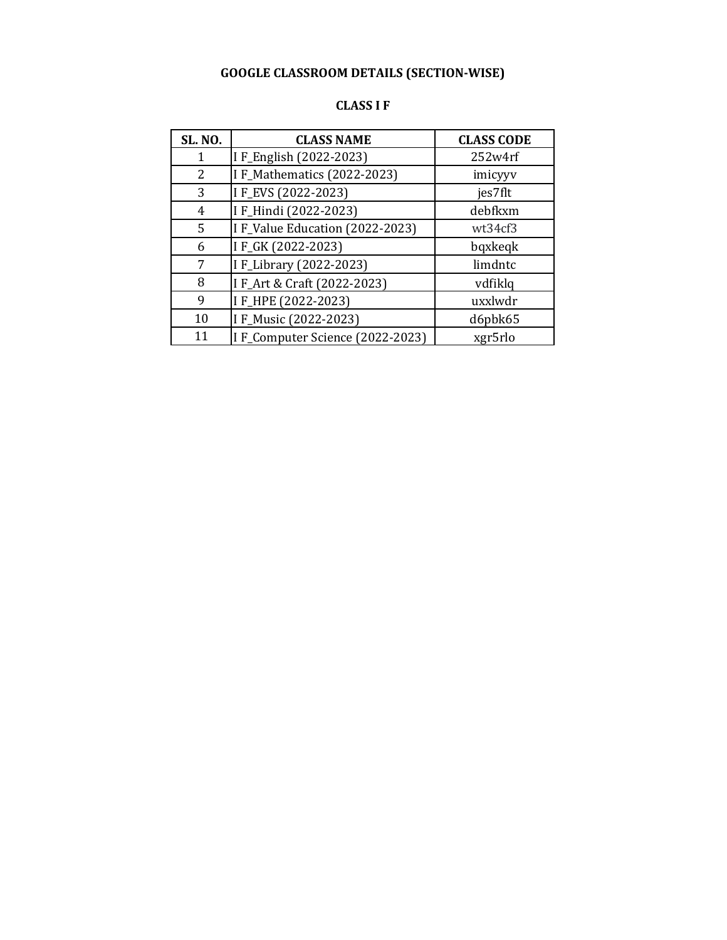| CLASS I<br> | u |
|-------------|---|
|-------------|---|

| <b>SL. NO.</b> | <b>CLASS NAME</b>               | <b>CLASS CODE</b> |
|----------------|---------------------------------|-------------------|
|                | I F_English (2022-2023)         | 252w4rf           |
| 2              | I F_Mathematics (2022-2023)     | imicyyv           |
| 3              | IF_EVS (2022-2023)              | jes7flt           |
| 4              | I F_Hindi (2022-2023)           | debfkxm           |
| 5              | I F_Value Education (2022-2023) | wt34cf3           |
| 6              | IF_GK (2022-2023)               | bqxkeqk           |
| 7              | I F_Library (2022-2023)         | limdntc           |
| 8              | I F_Art & Craft (2022-2023)     | vdfiklq           |
| 9              | IF_HPE (2022-2023)              | uxxlwdr           |
| 10             | I F_Music (2022-2023)           | d6pbk65           |
| 11             | IF_Computer Science (2022-2023) | xgr5rlo           |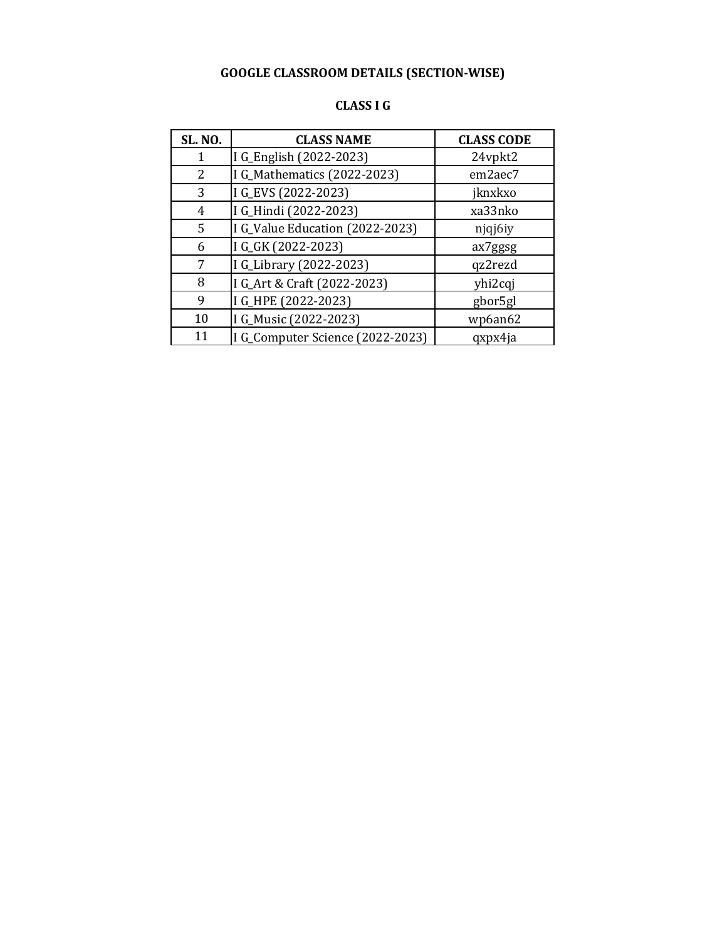| <b>SL. NO.</b> | <b>CLASS NAME</b>                | <b>CLASS CODE</b> |
|----------------|----------------------------------|-------------------|
|                | I G_English (2022-2023)          | 24vpkt2           |
| 2              | I G_Mathematics (2022-2023)      | em2aec7           |
| 3              | I G_EVS (2022-2023)              | jknxkxo           |
| 4              | I G_Hindi (2022-2023)            | xa33nko           |
| 5              | I G_Value Education (2022-2023)  | njqj6iy           |
| 6              | I G_GK (2022-2023)               | ax7ggsg           |
| 7              | I G_Library (2022-2023)          | qz2rezd           |
| 8              | I G_Art & Craft (2022-2023)      | yhi2cqj           |
| 9              | I G_HPE (2022-2023)              | gbor5gl           |
| 10             | I G_Music (2022-2023)            | wp6an62           |
| 11             | I G_Computer Science (2022-2023) | qxpx4ja           |

#### **CLASS I G**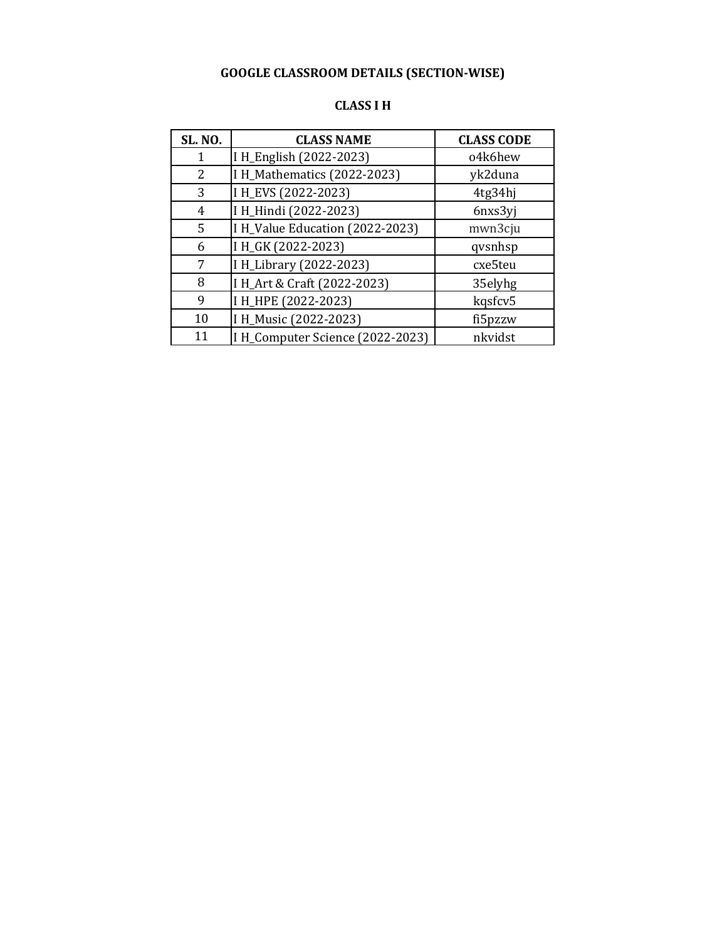| CLASS I H |  |
|-----------|--|
|-----------|--|

| <b>SL. NO.</b> | <b>CLASS NAME</b>                | <b>CLASS CODE</b> |
|----------------|----------------------------------|-------------------|
|                | I H_English (2022-2023)          | o4k6hew           |
| 2              | I H_Mathematics (2022-2023)      | yk2duna           |
| 3              | I H_EVS (2022-2023)              | 4tg34hj           |
| 4              | I H_Hindi (2022-2023)            | 6nxs3yj           |
| 5              | I H_Value Education (2022-2023)  | mwn3cju           |
| 6              | I H_GK (2022-2023)               | qvsnhsp           |
| 7              | I H_Library (2022-2023)          | cxe5teu           |
| 8              | I H_Art & Craft (2022-2023)      | 35elyhg           |
| 9              | I H_HPE (2022-2023)              | kqsfcv5           |
| 10             | I H_Music (2022-2023)            | fi5pzzw           |
| 11             | I H_Computer Science (2022-2023) | nkvidst           |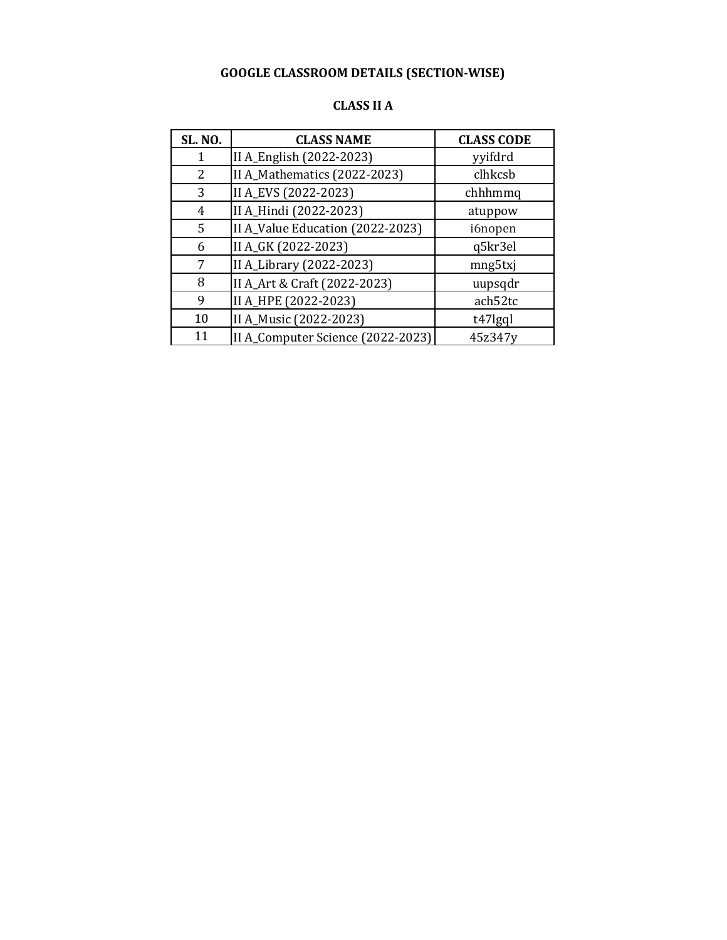| <b>SL. NO.</b> | <b>CLASS NAME</b>                 | <b>CLASS CODE</b> |
|----------------|-----------------------------------|-------------------|
|                | II A_English (2022-2023)          | yyifdrd           |
| 2              | II A_Mathematics (2022-2023)      | clhkcsb           |
| 3              | II A_EVS (2022-2023)              | chhhmmq           |
| 4              | II A_Hindi (2022-2023)            | atuppow           |
| 5              | II A_Value Education (2022-2023)  | i6nopen           |
| 6              | II A_GK (2022-2023)               | q5kr3el           |
| 7              | II A_Library (2022-2023)          | mng5txj           |
| 8              | II A_Art & Craft (2022-2023)      | uupsqdr           |
| 9              | II A_HPE (2022-2023)              | ach52tc           |
| 10             | II A_Music (2022-2023)            | t47lgql           |
| 11             | II A_Computer Science (2022-2023) | 45z347y           |

#### **CLASS II A**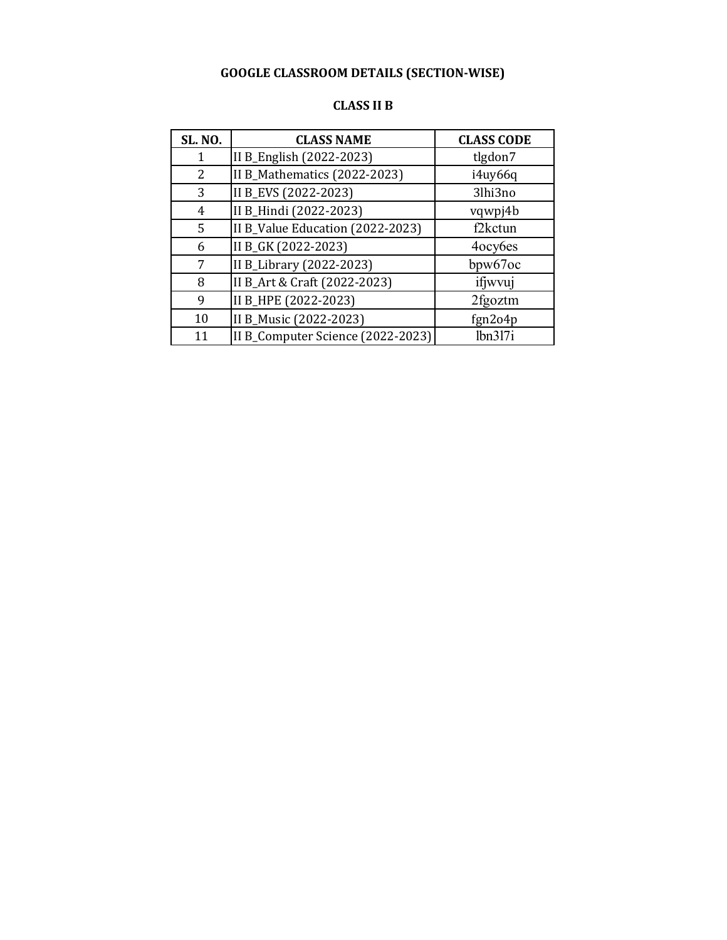| <b>CLASS II B</b> |  |
|-------------------|--|
|-------------------|--|

| <b>SL. NO.</b> | <b>CLASS NAME</b>                 | <b>CLASS CODE</b> |
|----------------|-----------------------------------|-------------------|
|                | II B_English (2022-2023)          | tlgdon7           |
| 2              | II B_Mathematics (2022-2023)      | i4uy66q           |
| 3              | II B_EVS (2022-2023)              | 3lhi3no           |
| 4              | II B_Hindi (2022-2023)            | vqwpj4b           |
| 5              | II B_Value Education (2022-2023)  | f2kctun           |
| 6              | II B_GK (2022-2023)               | 4ocy6es           |
| 7              | II B_Library (2022-2023)          | bpw $67$ oc       |
| 8              | II B_Art & Craft (2022-2023)      | ifjwvuj           |
| 9              | II B_HPE (2022-2023)              | 2fgoztm           |
| 10             | II B_Music (2022-2023)            | fgn2o4p           |
| 11             | II B_Computer Science (2022-2023) | lbn3l7i           |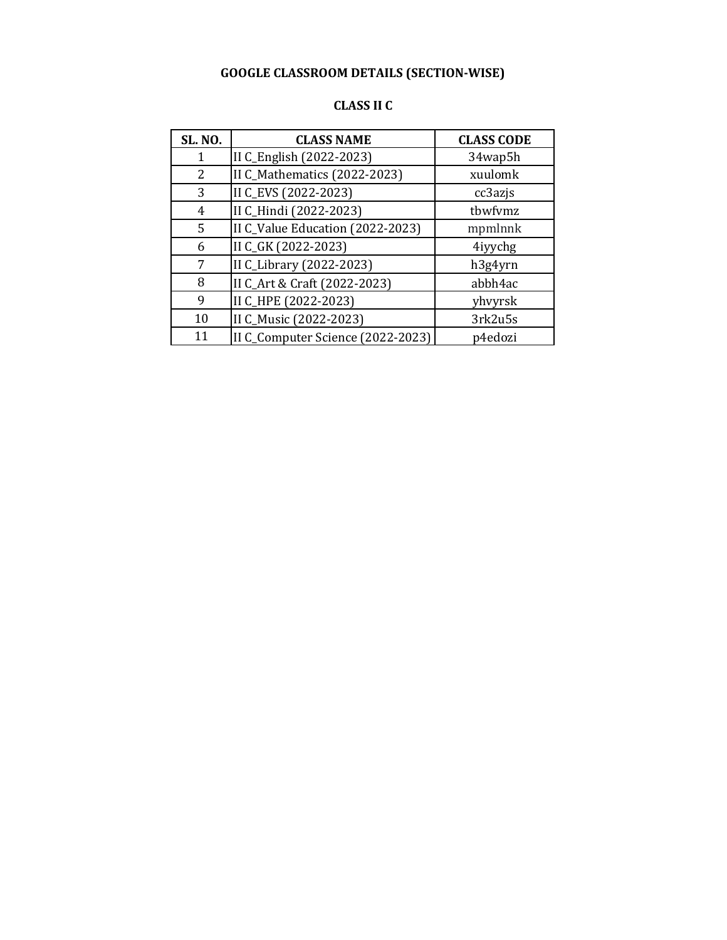| <b>SL. NO.</b> | <b>CLASS NAME</b>                 | <b>CLASS CODE</b> |
|----------------|-----------------------------------|-------------------|
| 1              | II C_English (2022-2023)          | 34wap5h           |
| 2              | II C_Mathematics (2022-2023)      | xuulomk           |
| 3              | II C_EVS (2022-2023)              | cc3azjs           |
| 4              | II C_Hindi (2022-2023)            | tbwfvmz           |
| 5              | II C_Value Education (2022-2023)  | mpmlnnk           |
| 6              | II C_GK (2022-2023)               | 4iyychg           |
| 7              | II C_Library (2022-2023)          | h3g4yrn           |
| 8              | II C_Art & Craft (2022-2023)      | abbh4ac           |
| 9              | II C_HPE (2022-2023)              | yhvyrsk           |
| 10             | II C_Music (2022-2023)            | 3rk2u5s           |
| 11             | II C_Computer Science (2022-2023) | p4edozi           |

#### **CLASS II C**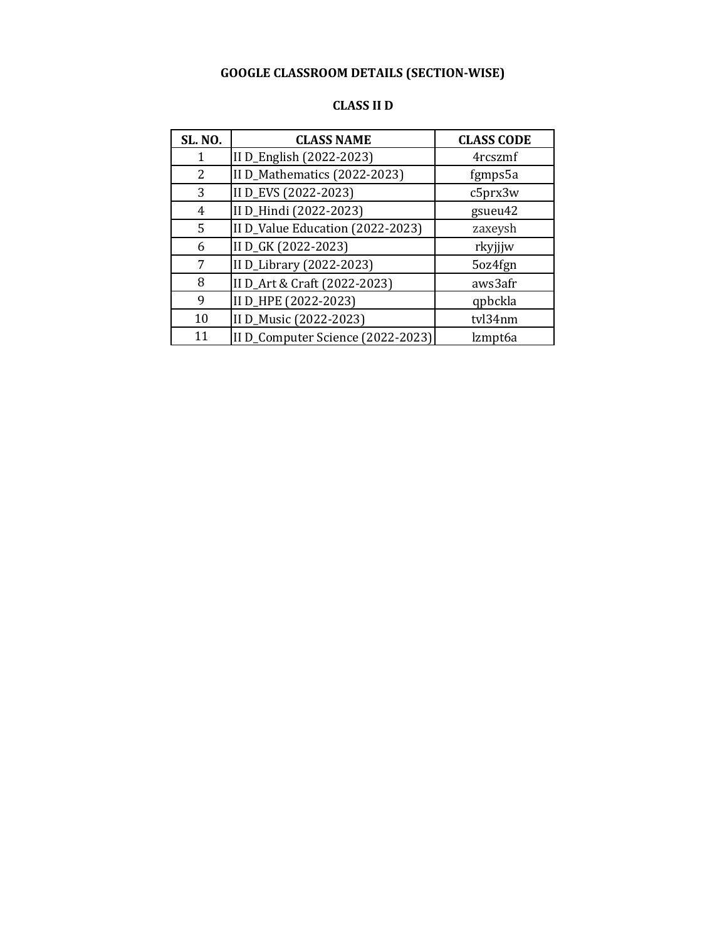| CLASS II D |  |  |
|------------|--|--|
|------------|--|--|

| <b>SL. NO.</b> | <b>CLASS NAME</b>                 | <b>CLASS CODE</b> |
|----------------|-----------------------------------|-------------------|
|                | II D_English (2022-2023)          | 4rcszmf           |
| 2              | II D_Mathematics (2022-2023)      | fgmps5a           |
| 3              | II D_EVS (2022-2023)              | c5prx3w           |
| 4              | II D_Hindi (2022-2023)            | gsueu42           |
| 5              | II D_Value Education (2022-2023)  | zaxeysh           |
| 6              | II D_GK (2022-2023)               | rkyjjjw           |
| 7              | II D_Library (2022-2023)          | 5oz4fgn           |
| 8              | II D_Art & Craft (2022-2023)      | aws3afr           |
| 9              | II D_HPE (2022-2023)              | qpbckla           |
| 10             | II D_Music (2022-2023)            | tvl34nm           |
| 11             | II D_Computer Science (2022-2023) | lzmpt6a           |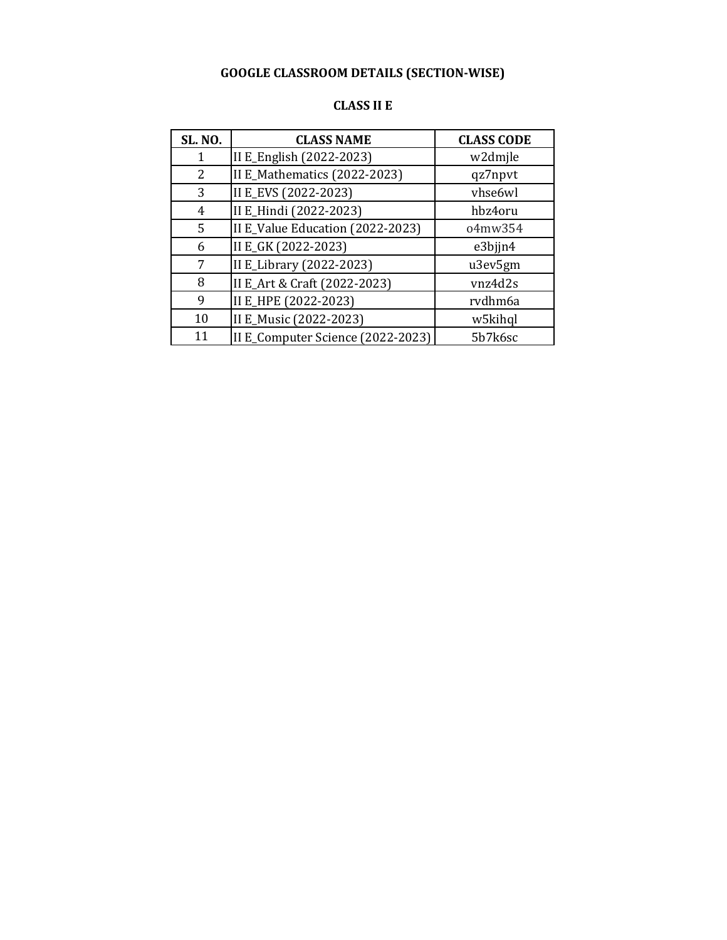| <b>SL. NO.</b> | <b>CLASS NAME</b>                 | <b>CLASS CODE</b> |
|----------------|-----------------------------------|-------------------|
|                | II E_English (2022-2023)          | w2dmjle           |
| 2              | II E_Mathematics (2022-2023)      | qz7npvt           |
| 3              | II E_EVS (2022-2023)              | vhse6wl           |
| 4              | II E_Hindi (2022-2023)            | hbz4oru           |
| 5              | II E_Value Education (2022-2023)  | 04mw354           |
| 6              | II E_GK (2022-2023)               | e3bjjn4           |
| 7              | II E_Library (2022-2023)          | u3ev5gm           |
| 8              | II E_Art & Craft (2022-2023)      | vnz4d2s           |
| 9              | II E_HPE (2022-2023)              | rvdhm6a           |
| 10             | II E_Music (2022-2023)            | w5kihql           |
| 11             | II E_Computer Science (2022-2023) | 5b7k6sc           |

#### **CLASS II E**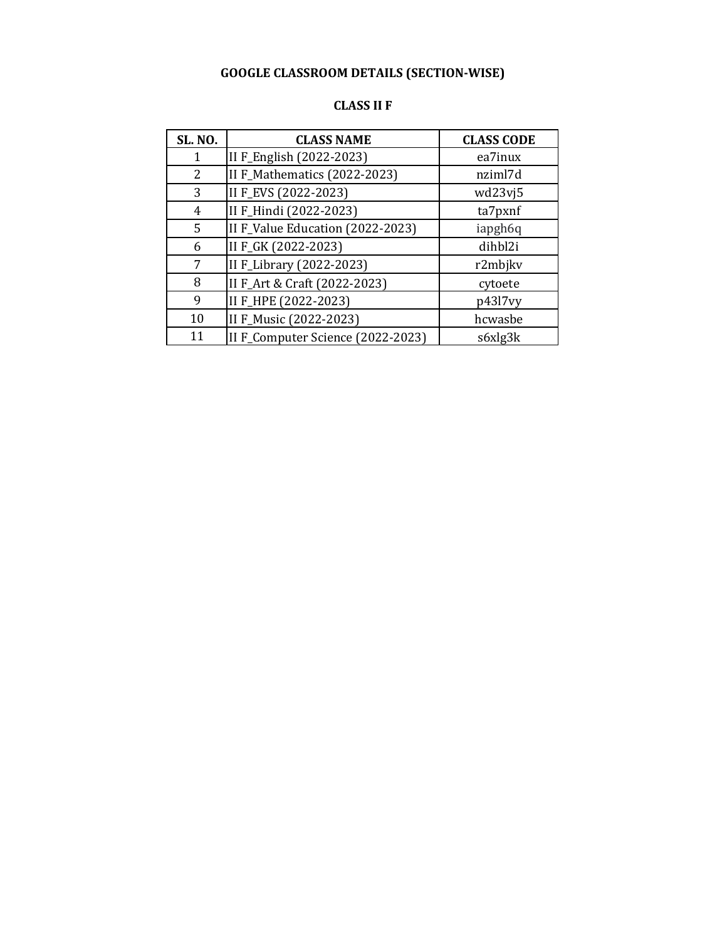| <b>SL. NO.</b> | <b>CLASS NAME</b>                 | <b>CLASS CODE</b> |
|----------------|-----------------------------------|-------------------|
| 1              | II F_English (2022-2023)          | ea7inux           |
| 2              | II F_Mathematics (2022-2023)      | nziml7d           |
| 3              | II F_EVS (2022-2023)              | wd23vj5           |
| 4              | II F_Hindi (2022-2023)            | ta7pxnf           |
| 5              | II F_Value Education (2022-2023)  | iapgh6q           |
| 6              | II F_GK (2022-2023)               | dihbl2i           |
| 7              | II F_Library (2022-2023)          | r2mbjkv           |
| 8              | II F_Art & Craft (2022-2023)      | cytoete           |
| 9              | II F_HPE (2022-2023)              | p43l7vy           |
| 10             | II F_Music (2022-2023)            | hcwasbe           |
| 11             | II F_Computer Science (2022-2023) | s6xlg3k           |

#### **CLASS II F**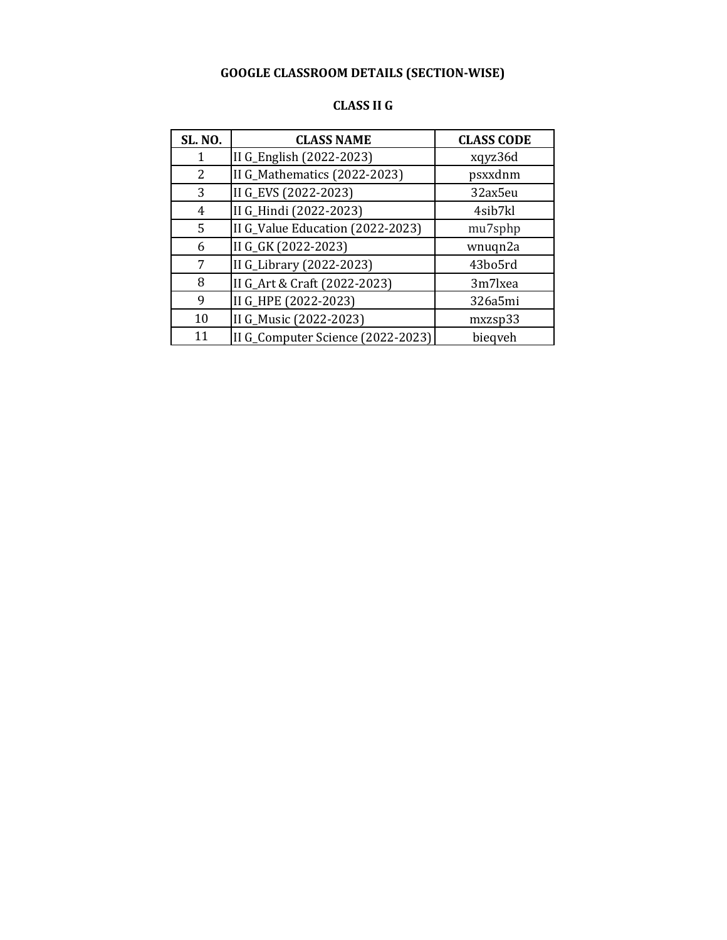| <b>CLASS II G</b> |  |  |
|-------------------|--|--|
|-------------------|--|--|

| <b>SL. NO.</b> | <b>CLASS NAME</b>                 | <b>CLASS CODE</b> |
|----------------|-----------------------------------|-------------------|
|                | II G_English (2022-2023)          | xqyz36d           |
| 2              | II G_Mathematics (2022-2023)      | psxxdnm           |
| 3              | II G_EVS (2022-2023)              | 32ax5eu           |
| 4              | II G_Hindi (2022-2023)            | 4sib7kl           |
| 5              | II G_Value Education (2022-2023)  | mu7sphp           |
| 6              | II G_GK (2022-2023)               | wnuqn2a           |
| 7              | II G_Library (2022-2023)          | 43bo5rd           |
| 8              | II G_Art & Craft (2022-2023)      | 3m7lxea           |
| 9              | II G_HPE (2022-2023)              | 326a5mi           |
| 10             | II G_Music (2022-2023)            | mxzsp33           |
| 11             | II G_Computer Science (2022-2023) | bieqveh           |